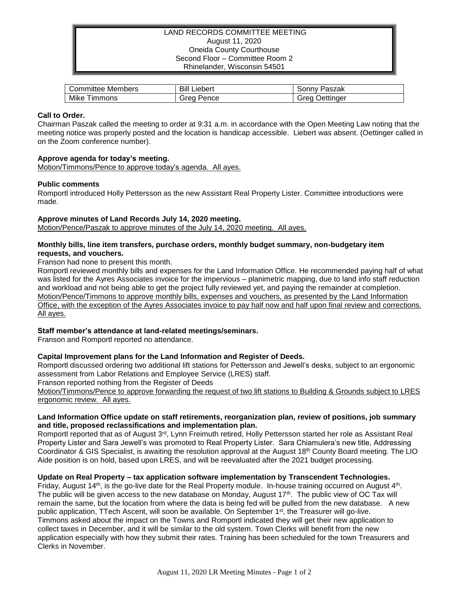## LAND RECORDS COMMITTEE MEETING August 11, 2020 Oneida County Courthouse Second Floor – Committee Room 2 Rhinelander, Wisconsin 54501

| Members                       | Bill          | Paszak            |
|-------------------------------|---------------|-------------------|
| .committee                    | Liebert       | َ onnvٽ           |
| Mike<br>$-1$<br><b>Immons</b> | Pence<br>Grea | Jettinaer<br>irea |

### **Call to Order.**

Chairman Paszak called the meeting to order at 9:31 a.m. in accordance with the Open Meeting Law noting that the meeting notice was properly posted and the location is handicap accessible. Liebert was absent. (Oettinger called in on the Zoom conference number).

## **Approve agenda for today's meeting.**

Motion/Timmons/Pence to approve today's agenda. All ayes.

## **Public comments**

Romportl introduced Holly Pettersson as the new Assistant Real Property Lister. Committee introductions were made.

#### **Approve minutes of Land Records July 14, 2020 meeting.**

Motion/Pence/Paszak to approve minutes of the July 14, 2020 meeting. All ayes.

### **Monthly bills, line item transfers, purchase orders, monthly budget summary, non-budgetary item requests, and vouchers.**

Franson had none to present this month.

Romportl reviewed monthly bills and expenses for the Land Information Office. He recommended paying half of what was listed for the Ayres Associates invoice for the impervious – planimetric mapping, due to land info staff reduction and workload and not being able to get the project fully reviewed yet, and paying the remainder at completion. Motion/Pence/Timmons to approve monthly bills, expenses and vouchers, as presented by the Land Information Office, with the exception of the Ayres Associates invoice to pay half now and half upon final review and corrections. All ayes.

# **Staff member's attendance at land-related meetings/seminars.**

Franson and Romportl reported no attendance.

# **Capital Improvement plans for the Land Information and Register of Deeds.**

Romportl discussed ordering two additional lift stations for Pettersson and Jewell's desks, subject to an ergonomic assessment from Labor Relations and Employee Service (LRES) staff.

Franson reported nothing from the Register of Deeds

Motion/Timmons/Pence to approve forwarding the request of two lift stations to Building & Grounds subject to LRES ergonomic review. All ayes.

## **Land Information Office update on staff retirements, reorganization plan, review of positions, job summary and title, proposed reclassifications and implementation plan.**

Romportl reported that as of August 3<sup>rd</sup>, Lynn Freimuth retired, Holly Pettersson started her role as Assistant Real Property Lister and Sara Jewell's was promoted to Real Property Lister. Sara Chiamulera's new title, Addressing Coordinator & GIS Specialist, is awaiting the resolution approval at the August 18<sup>th</sup> County Board meeting. The LIO Aide position is on hold, based upon LRES, and will be reevaluated after the 2021 budget processing.

#### **Update on Real Property – tax application software implementation by Transcendent Technologies.**

Friday, August 14<sup>th</sup>, is the go-live date for the Real Property module. In-house training occurred on August 4<sup>th</sup>. The public will be given access to the new database on Monday, August 17<sup>th</sup>. The public view of OC Tax will remain the same, but the location from where the data is being fed will be pulled from the new database. A new public application, TTech Ascent, will soon be available. On September 1<sup>st</sup>, the Treasurer will go-live. Timmons asked about the impact on the Towns and Romportl indicated they will get their new application to collect taxes in December, and it will be similar to the old system. Town Clerks will benefit from the new application especially with how they submit their rates. Training has been scheduled for the town Treasurers and Clerks in November.